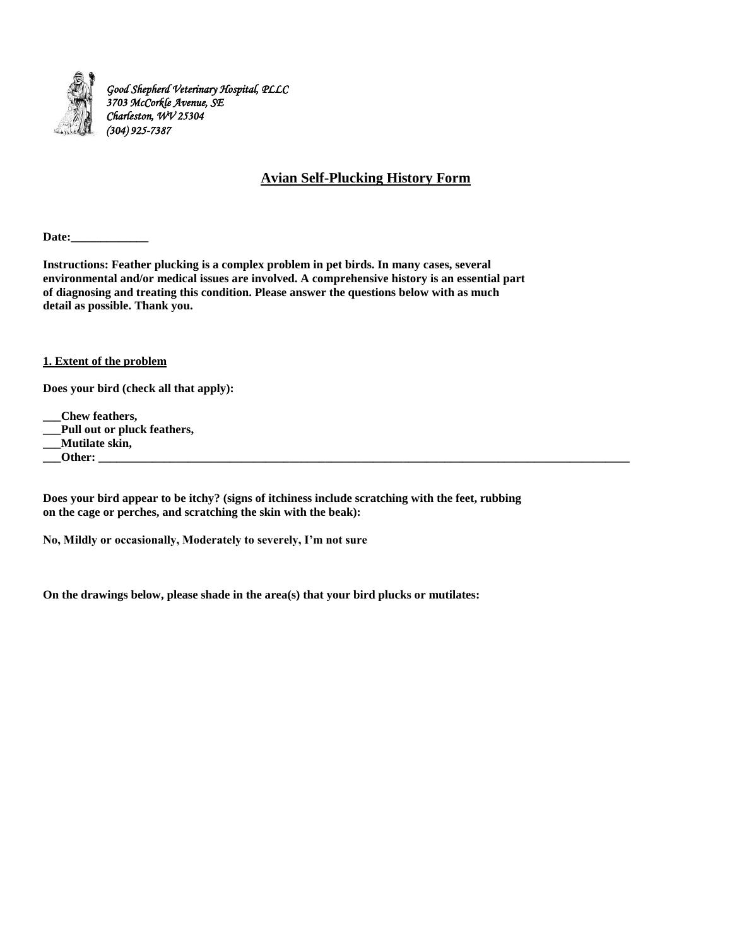

# **Avian Self-Plucking History Form**

Date:

**Instructions: Feather plucking is a complex problem in pet birds. In many cases, several environmental and/or medical issues are involved. A comprehensive history is an essential part of diagnosing and treating this condition. Please answer the questions below with as much detail as possible. Thank you.** 

### **1. Extent of the problem**

**Does your bird (check all that apply):** 

**\_\_\_Chew feathers,**

**\_\_\_Pull out or pluck feathers,** 

**\_\_\_Mutilate skin,** 

 $\rule{1em}{0}$   $\rule{1em}{0}$   $\qquad$   $\rule{1em}{0}$   $\qquad$   $\qquad$   $\qquad$   $\qquad$   $\qquad$   $\qquad$   $\qquad$   $\qquad$   $\qquad$   $\qquad$   $\qquad$   $\qquad$   $\qquad$   $\qquad$   $\qquad$   $\qquad$   $\qquad$   $\qquad$   $\qquad$   $\qquad$   $\qquad$   $\qquad$   $\qquad$   $\qquad$   $\qquad$   $\qquad$   $\qquad$   $\qquad$   $\qquad$   $\qquad$   $\$ 

**Does your bird appear to be itchy? (signs of itchiness include scratching with the feet, rubbing on the cage or perches, and scratching the skin with the beak):** 

**No, Mildly or occasionally, Moderately to severely, I'm not sure** 

**On the drawings below, please shade in the area(s) that your bird plucks or mutilates:**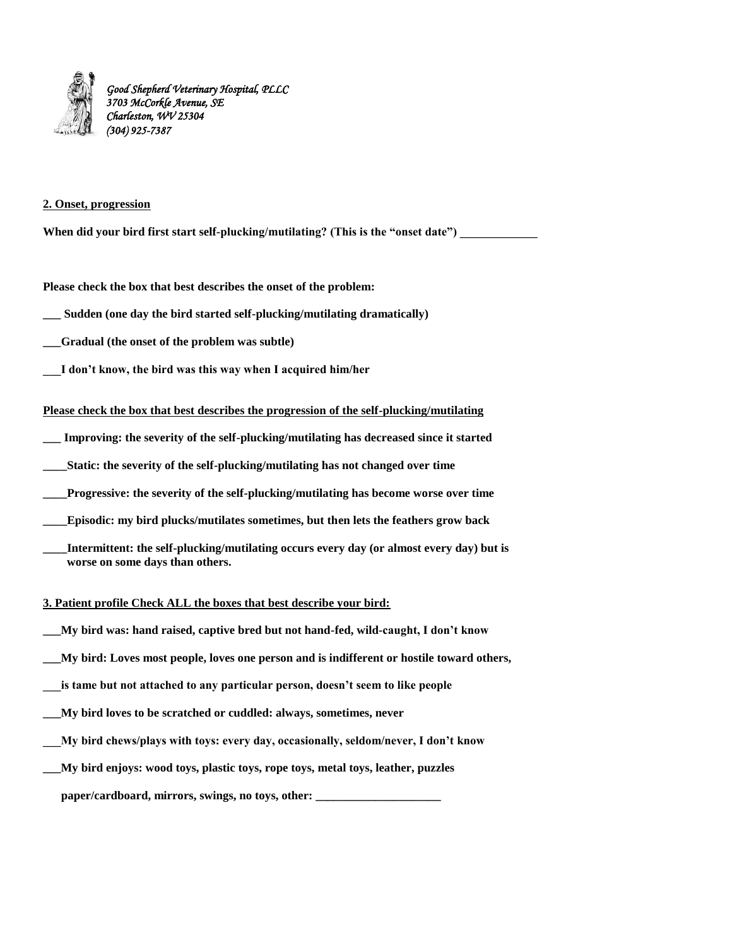

### **2. Onset, progression**

When did your bird first start self-plucking/mutilating? (This is the "onset date")

**Please check the box that best describes the onset of the problem:** 

**\_\_\_ Sudden (one day the bird started self-plucking/mutilating dramatically)** 

**\_\_\_Gradual (the onset of the problem was subtle)** 

**\_\_\_I don't know, the bird was this way when I acquired him/her** 

**Please check the box that best describes the progression of the self-plucking/mutilating** 

**\_\_\_ Improving: the severity of the self-plucking/mutilating has decreased since it started** 

**\_\_\_\_Static: the severity of the self-plucking/mutilating has not changed over time** 

Progressive: the severity of the self-plucking/mutilating has become worse over time

**\_\_\_\_Episodic: my bird plucks/mutilates sometimes, but then lets the feathers grow back** 

Intermittent: the self-plucking/mutilating occurs every day (or almost every day) but is  **worse on some days than others.** 

### **3. Patient profile Check ALL the boxes that best describe your bird:**

**\_\_\_My bird was: hand raised, captive bred but not hand-fed, wild-caught, I don't know** 

**\_\_\_My bird: Loves most people, loves one person and is indifferent or hostile toward others,** 

is tame but not attached to any particular person, doesn't seem to like people

**\_\_\_My bird loves to be scratched or cuddled: always, sometimes, never** 

**\_\_\_My bird chews/plays with toys: every day, occasionally, seldom/never, I don't know** 

**\_\_\_My bird enjoys: wood toys, plastic toys, rope toys, metal toys, leather, puzzles** 

paper/cardboard, mirrors, swings, no toys, other: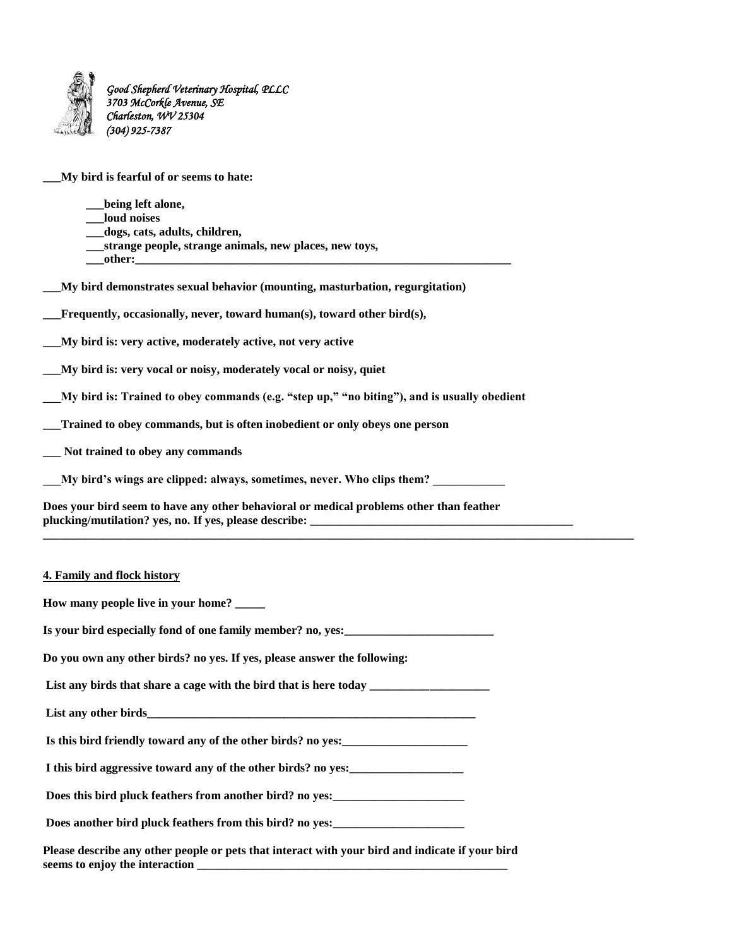

**\_\_\_My bird is fearful of or seems to hate:** 

| being left alone,                                      |  |
|--------------------------------------------------------|--|
| loud noises                                            |  |
| dogs, cats, adults, children,                          |  |
| strange people, strange animals, new places, new toys, |  |
| other:                                                 |  |

**\_\_\_My bird demonstrates sexual behavior (mounting, masturbation, regurgitation)** 

**\_\_\_Frequently, occasionally, never, toward human(s), toward other bird(s),** 

**\_\_\_My bird is: very active, moderately active, not very active** 

**\_\_\_My bird is: very vocal or noisy, moderately vocal or noisy, quiet** 

**\_\_\_My bird is: Trained to obey commands (e.g. "step up," "no biting"), and is usually obedient** 

**\_\_\_Trained to obey commands, but is often inobedient or only obeys one person** 

**\_\_\_ Not trained to obey any commands** 

My bird's wings are clipped: always, sometimes, never. Who clips them?

**Does your bird seem to have any other behavioral or medical problems other than feather plucking/mutilation? yes, no. If yes, please describe: \_\_\_\_\_\_\_\_\_\_\_\_\_\_\_\_\_\_\_\_\_\_\_\_\_\_\_\_\_\_\_\_\_\_\_\_\_\_\_\_\_\_\_\_** 

**\_\_\_\_\_\_\_\_\_\_\_\_\_\_\_\_\_\_\_\_\_\_\_\_\_\_\_\_\_\_\_\_\_\_\_\_\_\_\_\_\_\_\_\_\_\_\_\_\_\_\_\_\_\_\_\_\_\_\_\_\_\_\_\_\_\_\_\_\_\_\_\_\_\_\_\_\_\_\_\_\_\_\_\_\_\_\_\_\_\_\_\_\_\_\_\_\_\_\_**

### **4. Family and flock history**

**How many people live in your home? \_\_\_\_\_**  Is your bird especially fond of one family member? no, yes: **Do you own any other birds? no yes. If yes, please answer the following:**  List any birds that share a cage with the bird that is here today **with a set of the state of the state of the state of the state of the state of the state of the state of the state of the state of the state of the state o** List any other birds **Is this bird friendly toward any of the other birds? no yes:\_\_\_\_\_\_\_\_\_\_\_\_\_\_\_\_\_\_\_\_\_ I this bird aggressive toward any of the other birds? no yes:\_\_\_\_\_\_\_\_\_\_\_\_\_\_\_\_\_\_\_**  Does this bird pluck feathers from another bird? no yes: Does another bird pluck feathers from this bird? no yes: **Please describe any other people or pets that interact with your bird and indicate if your bird**  seems to enjoy the interaction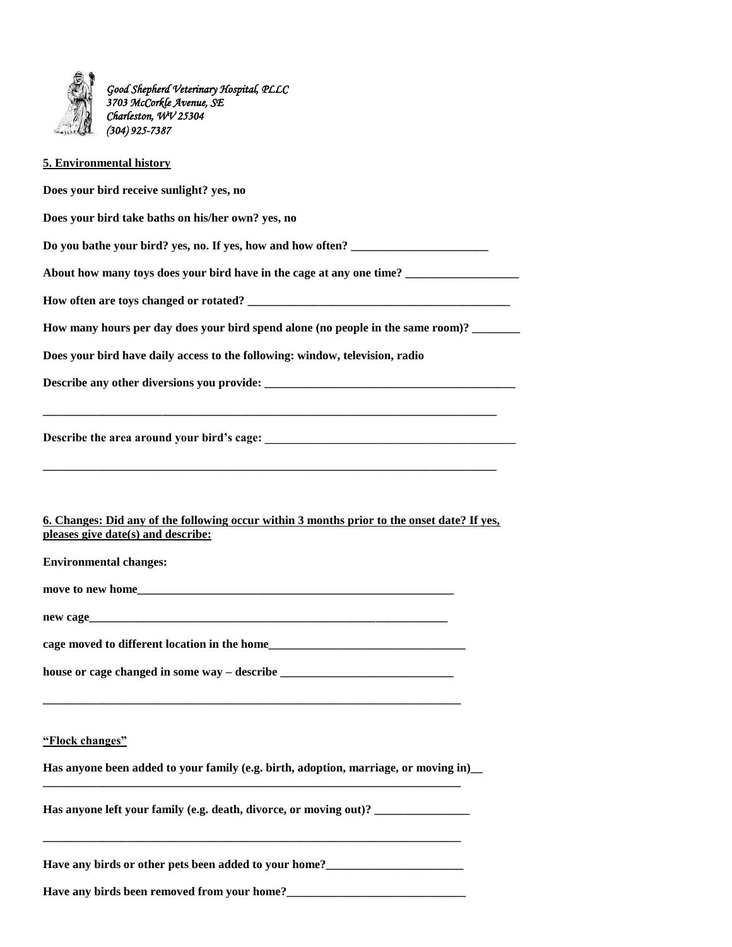

## **5. Environmental history**

**Does your bird receive sunlight? yes, no Does your bird take baths on his/her own? yes, no**  Do you bathe your bird? yes, no. If yes, how and how often? **About how many toys does your bird have in the cage at any one time? \_\_\_\_\_\_\_\_\_\_\_\_\_\_\_\_\_\_\_ How often are toys changed or rotated? \_\_\_\_\_\_\_\_\_\_\_\_\_\_\_\_\_\_\_\_\_\_\_\_\_\_\_\_\_\_\_\_\_\_\_\_\_\_\_\_\_\_\_\_ How many hours per day does your bird spend alone (no people in the same room)? \_\_\_\_\_\_\_\_ Does your bird have daily access to the following: window, television, radio Describe any other diversions you provide: \_\_\_\_\_\_\_\_\_\_\_\_\_\_\_\_\_\_\_\_\_\_\_\_\_\_\_\_\_\_\_\_\_\_\_\_\_\_\_\_\_\_ \_\_\_\_\_\_\_\_\_\_\_\_\_\_\_\_\_\_\_\_\_\_\_\_\_\_\_\_\_\_\_\_\_\_\_\_\_\_\_\_\_\_\_\_\_\_\_\_\_\_\_\_\_\_\_\_\_\_\_\_\_\_\_\_\_\_\_\_\_\_\_\_\_\_\_\_ Describe the area around your bird's cage: \_\_\_\_\_\_\_\_\_\_\_\_\_\_\_\_\_\_\_\_\_\_\_\_\_\_\_\_\_\_\_\_\_\_\_\_\_\_\_\_\_\_ \_\_\_\_\_\_\_\_\_\_\_\_\_\_\_\_\_\_\_\_\_\_\_\_\_\_\_\_\_\_\_\_\_\_\_\_\_\_\_\_\_\_\_\_\_\_\_\_\_\_\_\_\_\_\_\_\_\_\_\_\_\_\_\_\_\_\_\_\_\_\_\_\_\_\_\_ 6. Changes: Did any of the following occur within 3 months prior to the onset date? If yes, pleases give date(s) and describe: Environmental changes:**  move to new home new cage **cage moved to different location in the home\_\_\_\_\_\_\_\_\_\_\_\_\_\_\_\_\_\_\_\_\_\_\_\_\_\_\_\_\_\_\_\_\_ house or cage changed in some way – describe \_\_\_\_\_\_\_\_\_\_\_\_\_\_\_\_\_\_\_\_\_\_\_\_\_\_\_\_\_ \_\_\_\_\_\_\_\_\_\_\_\_\_\_\_\_\_\_\_\_\_\_\_\_\_\_\_\_\_\_\_\_\_\_\_\_\_\_\_\_\_\_\_\_\_\_\_\_\_\_\_\_\_\_\_\_\_\_\_\_\_\_\_\_\_\_\_\_\_\_ "Flock changes" Has anyone been added to your family (e.g. birth, adoption, marriage, or moving in)\_\_ \_\_\_\_\_\_\_\_\_\_\_\_\_\_\_\_\_\_\_\_\_\_\_\_\_\_\_\_\_\_\_\_\_\_\_\_\_\_\_\_\_\_\_\_\_\_\_\_\_\_\_\_\_\_\_\_\_\_\_\_\_\_\_\_\_\_\_\_\_\_ Has anyone left your family (e.g. death, divorce, or moving out)? \_\_\_\_\_\_\_\_\_\_\_\_\_\_\_\_ \_\_\_\_\_\_\_\_\_\_\_\_\_\_\_\_\_\_\_\_\_\_\_\_\_\_\_\_\_\_\_\_\_\_\_\_\_\_\_\_\_\_\_\_\_\_\_\_\_\_\_\_\_\_\_\_\_\_\_\_\_\_\_\_\_\_\_\_\_\_** 

Have any birds or other pets been added to your home?

**Have any birds been removed from your home?\_\_\_\_\_\_\_\_\_\_\_\_\_\_\_\_\_\_\_\_\_\_\_\_\_\_\_\_\_\_**